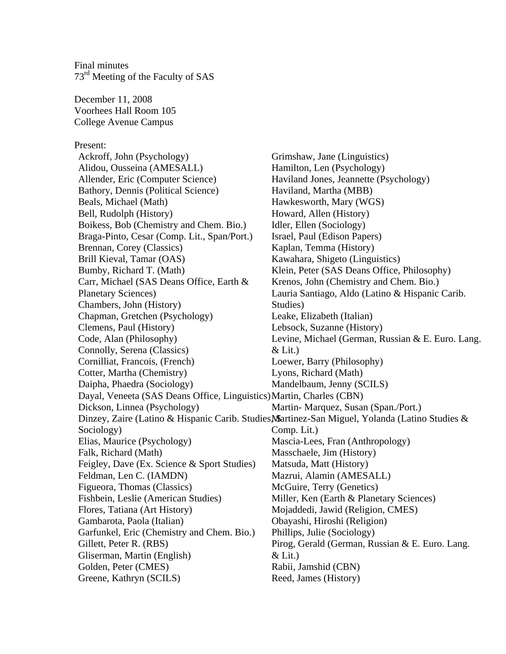Final minutes 73<sup>rd</sup> Meeting of the Faculty of SAS

December 11, 2008 Voorhees Hall Room 105 College Avenue Campus

## Present:

Ackroff, John (Psychology) Alidou, Ousseina (AMESALL) Allender, Eric (Computer Science) Bathory, Dennis (Political Science) Beals, Michael (Math) Bell, Rudolph (History) Boikess, Bob (Chemistry and Chem. Bio.) Braga-Pinto, Cesar (Comp. Lit., Span/Port.) Brennan, Corey (Classics) Brill Kieval, Tamar (OAS) Bumby, Richard T. (Math) Carr, Michael (SAS Deans Office, Earth & Planetary Sciences) Chambers, John (History) Chapman, Gretchen (Psychology) Clemens, Paul (History) Code, Alan (Philosophy) Connolly, Serena (Classics) Cornilliat, Francois, (French) Cotter, Martha (Chemistry) Daipha, Phaedra (Sociology) Dayal, Veneeta (SAS Deans Office, Linguistics)Martin, Charles (CBN) Dickson, Linnea (Psychology) Dinzey, Zaire (Latino & Hispanic Carib. Studies, Martinez-San Miguel, Yolanda (Latino Studies & Sociology) Comp. Lit.) Elias, Maurice (Psychology) Falk, Richard (Math) Feigley, Dave (Ex. Science & Sport Studies) Feldman, Len C. (IAMDN) Figueora, Thomas (Classics) Fishbein, Leslie (American Studies) Flores, Tatiana (Art History) Gambarota, Paola (Italian) Garfunkel, Eric (Chemistry and Chem. Bio.) Gillett, Peter R. (RBS) Gliserman, Martin (English) Golden, Peter (CMES) Greene, Kathryn (SCILS) Grimshaw, Jane (Linguistics) Hamilton, Len (Psychology) Haviland Jones, Jeannette (Psychology) Haviland, Martha (MBB) Hawkesworth, Mary (WGS) Howard, Allen (History) Idler, Ellen (Sociology) Israel, Paul (Edison Papers) Kaplan, Temma (History) Kawahara, Shigeto (Linguistics) Klein, Peter (SAS Deans Office, Philosophy) Krenos, John (Chemistry and Chem. Bio.) Lauria Santiago, Aldo (Latino & Hispanic Carib. Studies) Leake, Elizabeth (Italian) Lebsock, Suzanne (History) Levine, Michael (German, Russian & E. Euro. Lang.  $&$  Lit.) Loewer, Barry (Philosophy) Lyons, Richard (Math) Mandelbaum, Jenny (SCILS) Martin- Marquez, Susan (Span./Port.) Mascia-Lees, Fran (Anthropology) Masschaele, Jim (History) Matsuda, Matt (History) Mazrui, Alamin (AMESALL) McGuire, Terry (Genetics) Miller, Ken (Earth & Planetary Sciences) Mojaddedi, Jawid (Religion, CMES) Obayashi, Hiroshi (Religion) Phillips, Julie (Sociology) Pirog, Gerald (German, Russian & E. Euro. Lang.  $&$  Lit.) Rabii, Jamshid (CBN) Reed, James (History)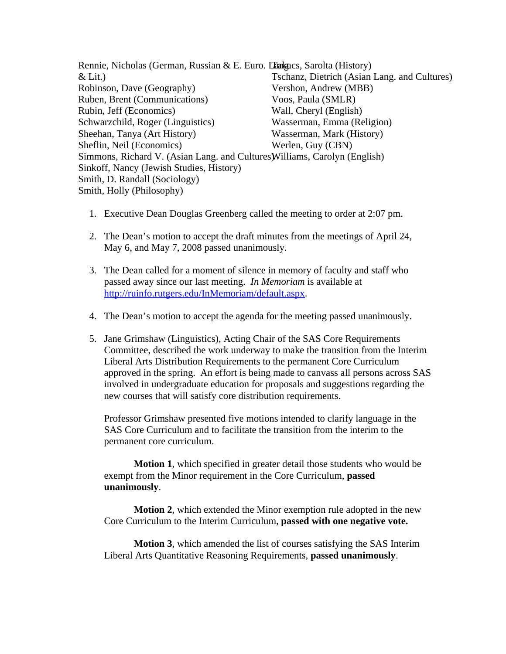Rennie, Nicholas (German, Russian & E. Euro. Languacs, Sarolta (History)  $&$  Lit.) Robinson, Dave (Geography) Ruben, Brent (Communications) Rubin, Jeff (Economics) Schwarzchild, Roger (Linguistics) Sheehan, Tanya (Art History) Sheflin, Neil (Economics) Simmons, Richard V. (Asian Lang. and Cultures Williams, Carolyn (English) Sinkoff, Nancy (Jewish Studies, History) Smith, D. Randall (Sociology) Smith, Holly (Philosophy) Tschanz, Dietrich (Asian Lang. and Cultures) Vershon, Andrew (MBB) Voos, Paula (SMLR) Wall, Cheryl (English) Wasserman, Emma (Religion) Wasserman, Mark (History) Werlen, Guy (CBN)

- 1. Executive Dean Douglas Greenberg called the meeting to order at 2:07 pm.
- 2. The Dean's motion to accept the draft minutes from the meetings of April 24, May 6, and May 7, 2008 passed unanimously.
- 3. The Dean called for a moment of silence in memory of faculty and staff who passed away since our last meeting. *In Memoriam* is available at [http://ruinfo.rutgers.edu/InMemoriam/default.aspx.](http://ruinfo.rutgers.edu/InMemoriam/default.aspx)
- 4. The Dean's motion to accept the agenda for the meeting passed unanimously.
- 5. Jane Grimshaw (Linguistics), Acting Chair of the SAS Core Requirements Committee, described the work underway to make the transition from the Interim Liberal Arts Distribution Requirements to the permanent Core Curriculum approved in the spring. An effort is being made to canvass all persons across SAS involved in undergraduate education for proposals and suggestions regarding the new courses that will satisfy core distribution requirements.

Professor Grimshaw presented five motions intended to clarify language in the SAS Core Curriculum and to facilitate the transition from the interim to the permanent core curriculum.

**Motion 1**, which specified in greater detail those students who would be exempt from the Minor requirement in the Core Curriculum, **passed unanimously**.

**Motion 2**, which extended the Minor exemption rule adopted in the new Core Curriculum to the Interim Curriculum, **passed with one negative vote.** 

**Motion 3**, which amended the list of courses satisfying the SAS Interim Liberal Arts Quantitative Reasoning Requirements, **passed unanimously**.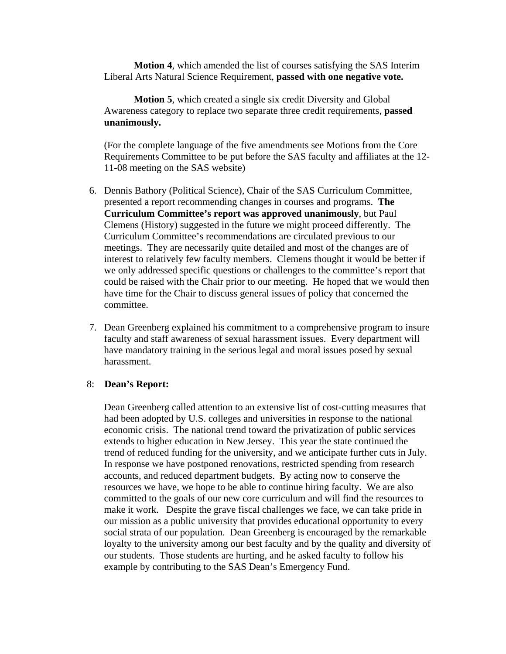**Motion 4**, which amended the list of courses satisfying the SAS Interim Liberal Arts Natural Science Requirement, **passed with one negative vote.** 

**Motion 5**, which created a single six credit Diversity and Global Awareness category to replace two separate three credit requirements, **passed unanimously.** 

(For the complete language of the five amendments see Motions from the Core Requirements Committee to be put before the SAS faculty and affiliates at the 12- 11-08 meeting on the SAS website)

- 6. Dennis Bathory (Political Science), Chair of the SAS Curriculum Committee, presented a report recommending changes in courses and programs. **The Curriculum Committee's report was approved unanimously**, but Paul Clemens (History) suggested in the future we might proceed differently. The Curriculum Committee's recommendations are circulated previous to our meetings. They are necessarily quite detailed and most of the changes are of interest to relatively few faculty members. Clemens thought it would be better if we only addressed specific questions or challenges to the committee's report that could be raised with the Chair prior to our meeting. He hoped that we would then have time for the Chair to discuss general issues of policy that concerned the committee.
- 7. Dean Greenberg explained his commitment to a comprehensive program to insure faculty and staff awareness of sexual harassment issues. Every department will have mandatory training in the serious legal and moral issues posed by sexual harassment.

## 8: **Dean's Report:**

Dean Greenberg called attention to an extensive list of cost-cutting measures that had been adopted by U.S. colleges and universities in response to the national economic crisis. The national trend toward the privatization of public services extends to higher education in New Jersey. This year the state continued the trend of reduced funding for the university, and we anticipate further cuts in July. In response we have postponed renovations, restricted spending from research accounts, and reduced department budgets. By acting now to conserve the resources we have, we hope to be able to continue hiring faculty. We are also committed to the goals of our new core curriculum and will find the resources to make it work. Despite the grave fiscal challenges we face, we can take pride in our mission as a public university that provides educational opportunity to every social strata of our population. Dean Greenberg is encouraged by the remarkable loyalty to the university among our best faculty and by the quality and diversity of our students. Those students are hurting, and he asked faculty to follow his example by contributing to the SAS Dean's Emergency Fund.